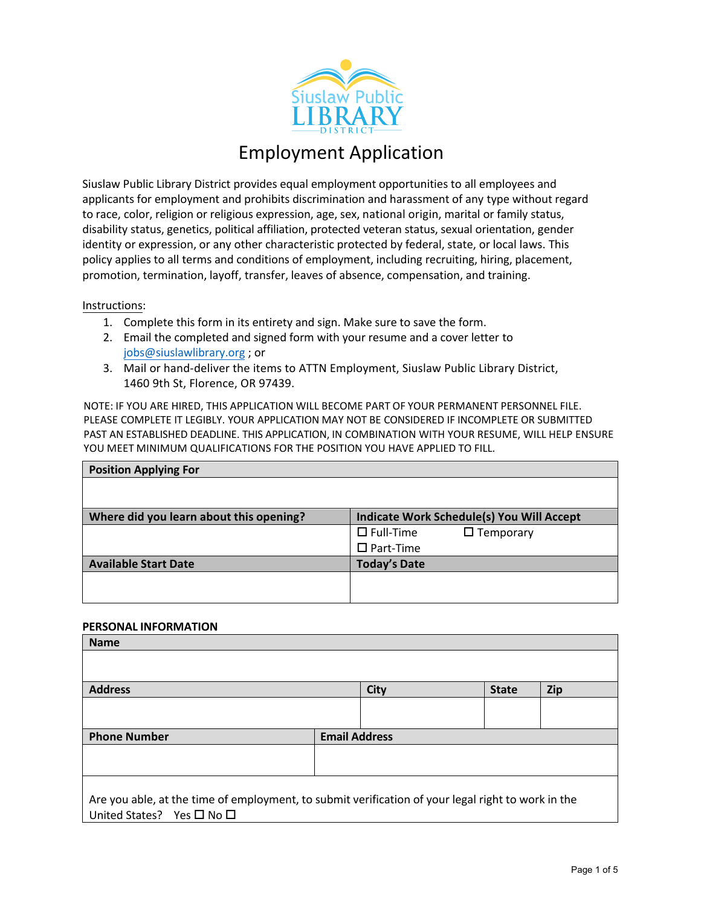

# Employment Application

Siuslaw Public Library District provides equal employment opportunities to all employees and applicants for employment and prohibits discrimination and harassment of any type without regard to race, color, religion or religious expression, age, sex, national origin, marital or family status, disability status, genetics, political affiliation, protected veteran status, sexual orientation, gender identity or expression, or any other characteristic protected by federal, state, or local laws. This policy applies to all terms and conditions of employment, including recruiting, hiring, placement, promotion, termination, layoff, transfer, leaves of absence, compensation, and training.

#### Instructions:

- 1. Complete this form in its entirety and sign. Make sure to save the form.
- 2. Email the completed and signed application along with your resume and a cover letter to jobs@siuslawlibrary.org ; or
- 3. [Mail or hand-deliver the items to ATTN Employment, Siuslaw Public Library District,](mailto:jobs@siuslawlibrary.org) 1460 9th St, Florence, OR 97439.

NOTE: IF YOU ARE HIRED, THIS APPLICATION WILL BECOME PART OF YOUR PERMANENT PERSONNEL FILE. PLEASE COMPLETE IT LEGIBLY. YOUR APPLICATION MAY NOT BE CONSIDERED IF INCOMPLETE OR SUBMITTED PAST AN ESTABLISHED DEADLINE. THIS APPLICATION, IN COMBINATION WITH YOUR RESUME, WILL HELP ENSURE YOU MEET MINIMUM QUALIFICATIONS FOR THE POSITION YOU HAVE APPLIED TO FILL.

| <b>Position Applying For</b>            |                                                  |
|-----------------------------------------|--------------------------------------------------|
|                                         |                                                  |
|                                         |                                                  |
| Where did you learn about this opening? | <b>Indicate Work Schedule(s) You Will Accept</b> |
|                                         | $\Box$ Full-Time<br>$\Box$ Temporary             |
|                                         | $\square$ Part-Time                              |
| <b>Available Start Date</b>             | <b>Today's Date</b>                              |
|                                         |                                                  |
|                                         |                                                  |

#### **PERSONAL INFORMATION**

| <b>Name</b>                                                                                        |  |             |  |              |     |
|----------------------------------------------------------------------------------------------------|--|-------------|--|--------------|-----|
|                                                                                                    |  |             |  |              |     |
| <b>Address</b>                                                                                     |  | <b>City</b> |  | <b>State</b> | Zip |
|                                                                                                    |  |             |  |              |     |
|                                                                                                    |  |             |  |              |     |
| <b>Email Address</b><br><b>Phone Number</b>                                                        |  |             |  |              |     |
|                                                                                                    |  |             |  |              |     |
|                                                                                                    |  |             |  |              |     |
|                                                                                                    |  |             |  |              |     |
| Are you able, at the time of employment, to submit verification of your legal right to work in the |  |             |  |              |     |
| United States? Yes $\square$ No $\square$                                                          |  |             |  |              |     |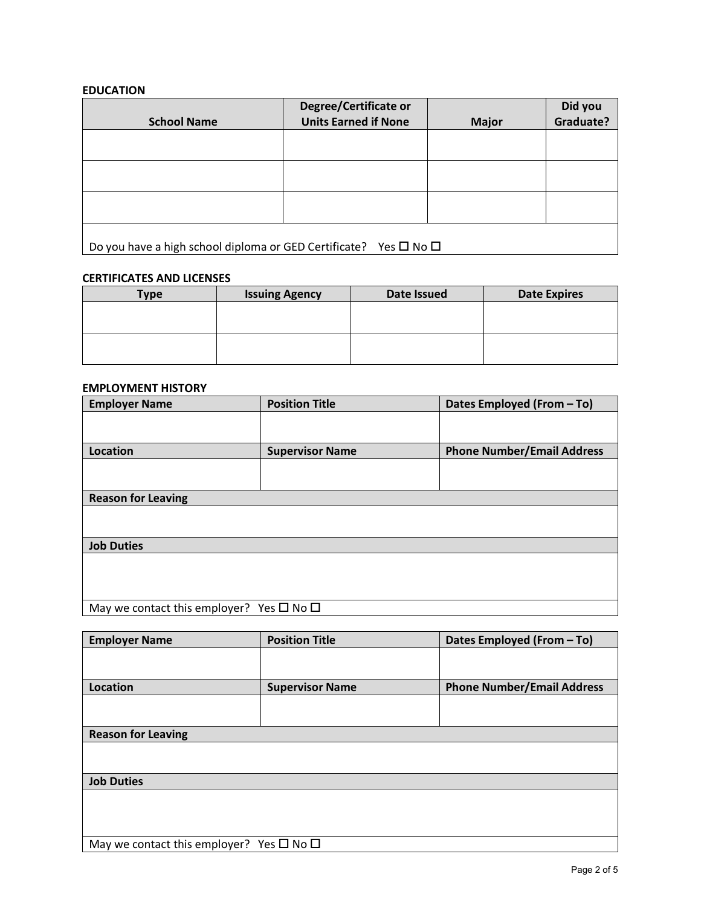# **EDUCATION**

|                                                                            | Degree/Certificate or       |              | Did you   |  |
|----------------------------------------------------------------------------|-----------------------------|--------------|-----------|--|
| <b>School Name</b>                                                         | <b>Units Earned if None</b> | <b>Major</b> | Graduate? |  |
|                                                                            |                             |              |           |  |
|                                                                            |                             |              |           |  |
|                                                                            |                             |              |           |  |
|                                                                            |                             |              |           |  |
|                                                                            |                             |              |           |  |
|                                                                            |                             |              |           |  |
|                                                                            |                             |              |           |  |
|                                                                            |                             |              |           |  |
|                                                                            |                             |              |           |  |
| Do you have a high school diploma or GED Certificate? Yes $\Box$ No $\Box$ |                             |              |           |  |

## **CERTIFICATES AND LICENSES**

| <b>Type</b> | <b>Issuing Agency</b> | Date Issued | <b>Date Expires</b> |
|-------------|-----------------------|-------------|---------------------|
|             |                       |             |                     |
|             |                       |             |                     |
|             |                       |             |                     |
|             |                       |             |                     |

## **EMPLOYMENT HISTORY**

| <b>Employer Name</b>                                     | <b>Position Title</b>  | Dates Employed (From - To)        |  |  |
|----------------------------------------------------------|------------------------|-----------------------------------|--|--|
|                                                          |                        |                                   |  |  |
| <b>Location</b>                                          | <b>Supervisor Name</b> | <b>Phone Number/Email Address</b> |  |  |
|                                                          |                        |                                   |  |  |
| <b>Reason for Leaving</b>                                |                        |                                   |  |  |
|                                                          |                        |                                   |  |  |
| <b>Job Duties</b>                                        |                        |                                   |  |  |
|                                                          |                        |                                   |  |  |
| May we contact this employer? Yes $\square$ No $\square$ |                        |                                   |  |  |

| <b>Employer Name</b>                                     | <b>Position Title</b>  | Dates Employed (From - To)        |  |  |
|----------------------------------------------------------|------------------------|-----------------------------------|--|--|
|                                                          |                        |                                   |  |  |
| Location                                                 | <b>Supervisor Name</b> | <b>Phone Number/Email Address</b> |  |  |
|                                                          |                        |                                   |  |  |
| <b>Reason for Leaving</b>                                |                        |                                   |  |  |
|                                                          |                        |                                   |  |  |
| <b>Job Duties</b>                                        |                        |                                   |  |  |
|                                                          |                        |                                   |  |  |
| May we contact this employer? Yes $\square$ No $\square$ |                        |                                   |  |  |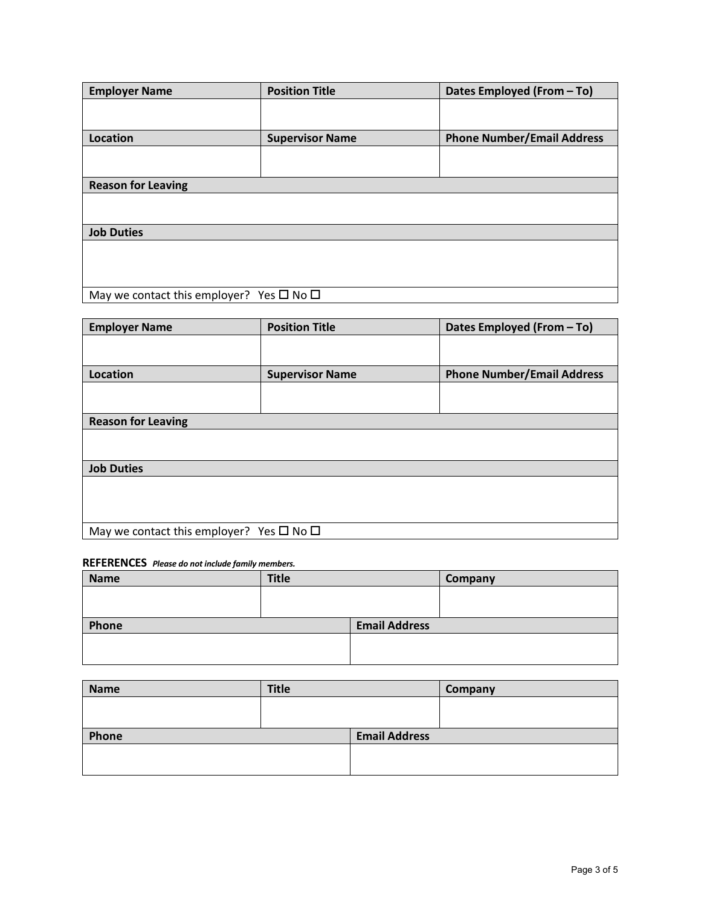| <b>Employer Name</b>      | <b>Position Title</b>  | Dates Employed (From - To)        |
|---------------------------|------------------------|-----------------------------------|
|                           |                        |                                   |
| Location                  | <b>Supervisor Name</b> | <b>Phone Number/Email Address</b> |
|                           |                        |                                   |
| <b>Reason for Leaving</b> |                        |                                   |
|                           |                        |                                   |
| <b>Job Duties</b>         |                        |                                   |
|                           |                        |                                   |

May we contact this employer? Yes  $\square$  No  $\square$ 

| <b>Employer Name</b>                                     | <b>Position Title</b>  | Dates Employed (From - To)        |  |  |
|----------------------------------------------------------|------------------------|-----------------------------------|--|--|
|                                                          |                        |                                   |  |  |
| <b>Location</b>                                          | <b>Supervisor Name</b> | <b>Phone Number/Email Address</b> |  |  |
|                                                          |                        |                                   |  |  |
| <b>Reason for Leaving</b>                                |                        |                                   |  |  |
|                                                          |                        |                                   |  |  |
| <b>Job Duties</b>                                        |                        |                                   |  |  |
|                                                          |                        |                                   |  |  |
| May we contact this employer? Yes $\square$ No $\square$ |                        |                                   |  |  |

# **REFERENCES** *Please do not include family members.*

| <b>Name</b> | <b>Title</b> |                      | Company |
|-------------|--------------|----------------------|---------|
|             |              |                      |         |
|             |              |                      |         |
| Phone       |              | <b>Email Address</b> |         |
|             |              |                      |         |
|             |              |                      |         |

| <b>Name</b> | <b>Title</b> |                      | Company |
|-------------|--------------|----------------------|---------|
|             |              |                      |         |
|             |              |                      |         |
| Phone       |              | <b>Email Address</b> |         |
|             |              |                      |         |
|             |              |                      |         |